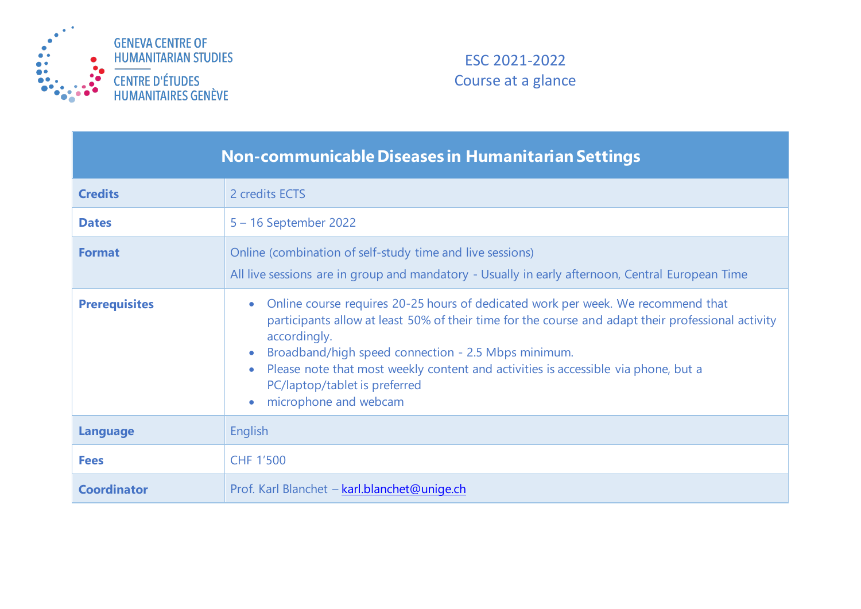

# ESC 2021-2022 Course at a glance

| Non-communicable Diseases in Humanitarian Settings |                                                                                                                                                                                                                                                                                                                                                                                                                                                      |
|----------------------------------------------------|------------------------------------------------------------------------------------------------------------------------------------------------------------------------------------------------------------------------------------------------------------------------------------------------------------------------------------------------------------------------------------------------------------------------------------------------------|
| <b>Credits</b>                                     | 2 credits ECTS                                                                                                                                                                                                                                                                                                                                                                                                                                       |
| <b>Dates</b>                                       | 5 - 16 September 2022                                                                                                                                                                                                                                                                                                                                                                                                                                |
| <b>Format</b>                                      | Online (combination of self-study time and live sessions)<br>All live sessions are in group and mandatory - Usually in early afternoon, Central European Time                                                                                                                                                                                                                                                                                        |
| <b>Prerequisites</b>                               | Online course requires 20-25 hours of dedicated work per week. We recommend that<br>$\bullet$<br>participants allow at least 50% of their time for the course and adapt their professional activity<br>accordingly.<br>Broadband/high speed connection - 2.5 Mbps minimum.<br>Please note that most weekly content and activities is accessible via phone, but a<br>$\bullet$<br>PC/laptop/tablet is preferred<br>microphone and webcam<br>$\bullet$ |
| <b>Language</b>                                    | English                                                                                                                                                                                                                                                                                                                                                                                                                                              |
| <b>Fees</b>                                        | <b>CHF 1'500</b>                                                                                                                                                                                                                                                                                                                                                                                                                                     |
| <b>Coordinator</b>                                 | Prof. Karl Blanchet - karl.blanchet@unige.ch                                                                                                                                                                                                                                                                                                                                                                                                         |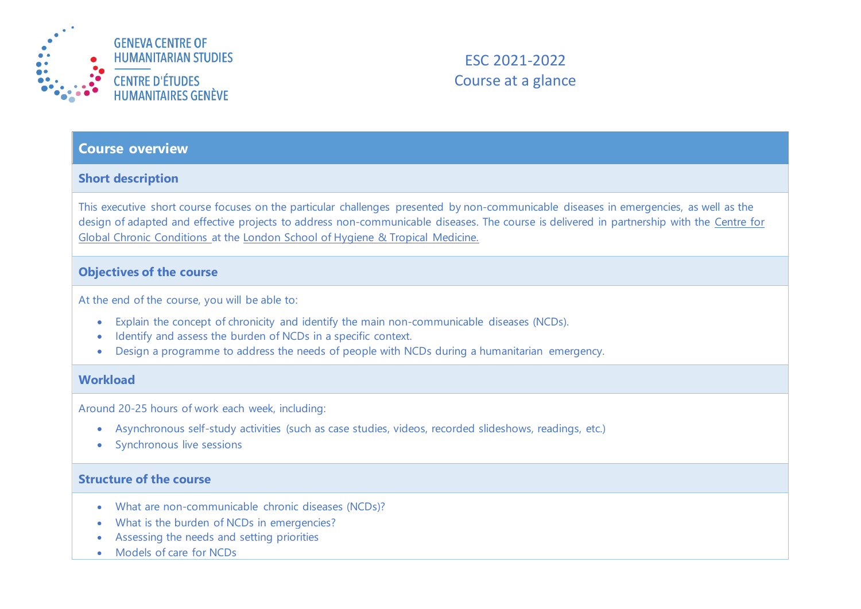

# ESC 2021-2022 Course at a glance

### **Course overview**

#### **Short description**

This executive short course focuses on the particular challenges presented by non-communicable diseases in emergencies, as well as the design of adapted and effective projects to address non-communicable diseases. The course is delivered in partnership with the [Centre for](https://www.lshtm.ac.uk/research/centres/centre-global-chronic-conditions/)  [Global Chronic Conditions](https://www.lshtm.ac.uk/research/centres/centre-global-chronic-conditions/) at the [London School of Hygiene & Tropical Medicine.](https://www.lshtm.ac.uk/)

#### **Objectives of the course**

At the end of the course, you will be able to:

- Explain the concept of chronicity and identify the main non-communicable diseases (NCDs).
- Identify and assess the burden of NCDs in a specific context.
- Design a programme to address the needs of people with NCDs during a humanitarian emergency.

#### **Workload**

Around 20-25 hours of work each week, including:

- Asynchronous self-study activities (such as case studies, videos, recorded slideshows, readings, etc.)
- Synchronous live sessions

### **Structure of the course**

- What are non-communicable chronic diseases (NCDs)?
- What is the burden of NCDs in emergencies?
- Assessing the needs and setting priorities
- Models of care for NCDs